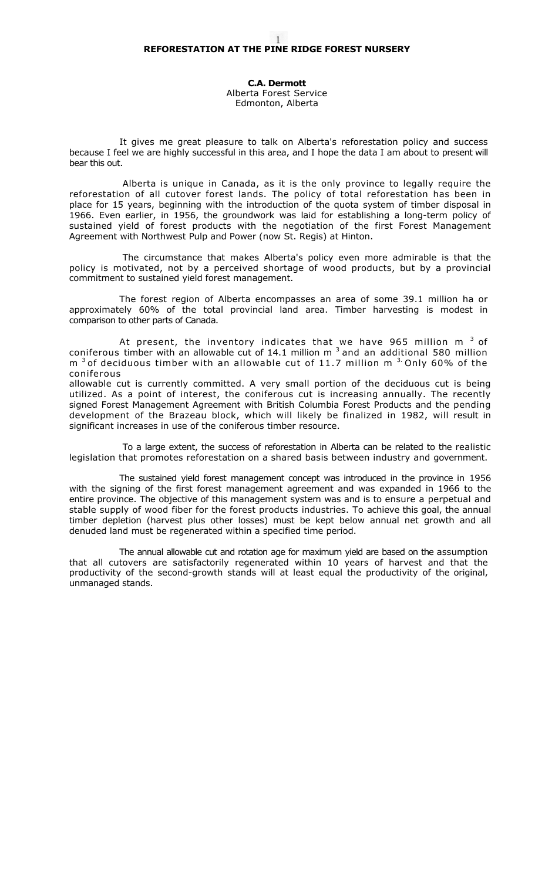**C.A. Dermott**  Alberta Forest Service Edmonton, Alberta

It gives me great pleasure to talk on Alberta's reforestation policy and success because I feel we are highly successful in this area, and I hope the data I am about to present will bear this out.

Alberta is unique in Canada, as it is the only province to legally require the reforestation of all cutover forest lands. The policy of total reforestation has been in place for 15 years, beginning with the introduction of the quota system of timber disposal in 1966. Even earlier, in 1956, the groundwork was laid for establishing a long-term policy of sustained yield of forest products with the negotiation of the first Forest Management Agreement with Northwest Pulp and Power (now St. Regis) at Hinton.

The circumstance that makes Alberta's policy even more admirable is that the policy is motivated, not by a perceived shortage of wood products, but by a provincial commitment to sustained yield forest management.

The forest region of Alberta encompasses an area of some 39.1 million ha or approximately 60% of the total provincial land area. Timber harvesting is modest in comparison to other parts of Canada.

At present, the inventory indicates that we have 965 million m  $^3$  of coniferous timber with an allowable cut of 14.1 million m  $3$  and an additional 580 million  $m<sup>3</sup>$  of deciduous timber with an allowable cut of 11.7 million m  $3.$  Only 60% of the coniferous

allowable cut is currently committed. A very small portion of the deciduous cut is being utilized. As a point of interest, the coniferous cut is increasing annually. The recently signed Forest Management Agreement with British Columbia Forest Products and the pending development of the Brazeau block, which will likely be finalized in 1982, will result in significant increases in use of the coniferous timber resource.

To a large extent, the success of reforestation in Alberta can be related to the realistic legislation that promotes reforestation on a shared basis between industry and government.

The sustained yield forest management concept was introduced in the province in 1956 with the signing of the first forest management agreement and was expanded in 1966 to the entire province. The objective of this management system was and is to ensure a perpetual and stable supply of wood fiber for the forest products industries. To achieve this goal, the annual timber depletion (harvest plus other losses) must be kept below annual net growth and all denuded land must be regenerated within a specified time period.

The annual allowable cut and rotation age for maximum yield are based on the assumption that all cutovers are satisfactorily regenerated within 10 years of harvest and that the productivity of the second-growth stands will at least equal the productivity of the original, unmanaged stands.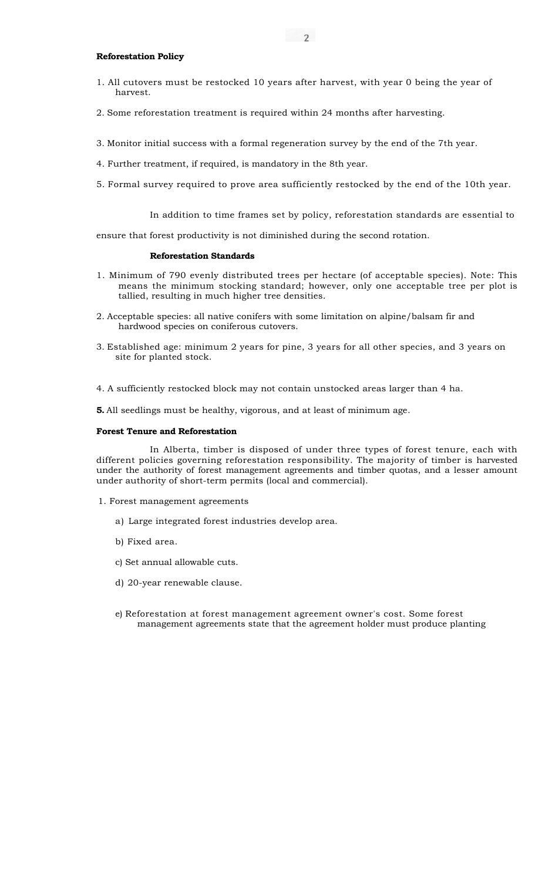## **Reforestation Policy**

- 1. All cutovers must be restocked 10 years after harvest, with year 0 being the year of harvest.
- 2. Some reforestation treatment is required within 24 months after harvesting.
- 3. Monitor initial success with a formal regeneration survey by the end of the 7th year.
- 4. Further treatment, if required, is mandatory in the 8th year.
- 5. Formal survey required to prove area sufficiently restocked by the end of the 10th year.

In addition to time frames set by policy, reforestation standards are essential to

ensure that forest productivity is not diminished during the second rotation.

## **Reforestation Standards**

- 1. Minimum of 790 evenly distributed trees per hectare (of acceptable species). Note: This means the minimum stocking standard; however, only one acceptable tree per plot is tallied, resulting in much higher tree densities.
- 2. Acceptable species: all native conifers with some limitation on alpine/balsam fir and hardwood species on coniferous cutovers.
- 3. Established age: minimum 2 years for pine, 3 years for all other species, and 3 years on site for planted stock.
- 4. A sufficiently restocked block may not contain unstocked areas larger than 4 ha.

**5.** All seedlings must be healthy, vigorous, and at least of minimum age.

# **Forest Tenure and Reforestation**

In Alberta, timber is disposed of under three types of forest tenure, each with different policies governing reforestation responsibility. The majority of timber is harvested under the authority of forest management agreements and timber quotas, and a lesser amount under authority of short-term permits (local and commercial).

- 1. Forest management agreements
	- a) Large integrated forest industries develop area.
	- b) Fixed area.
	- c) Set annual allowable cuts.
	- d) 20-year renewable clause.
	- e) Reforestation at forest management agreement owner's cost. Some forest management agreements state that the agreement holder must produce planting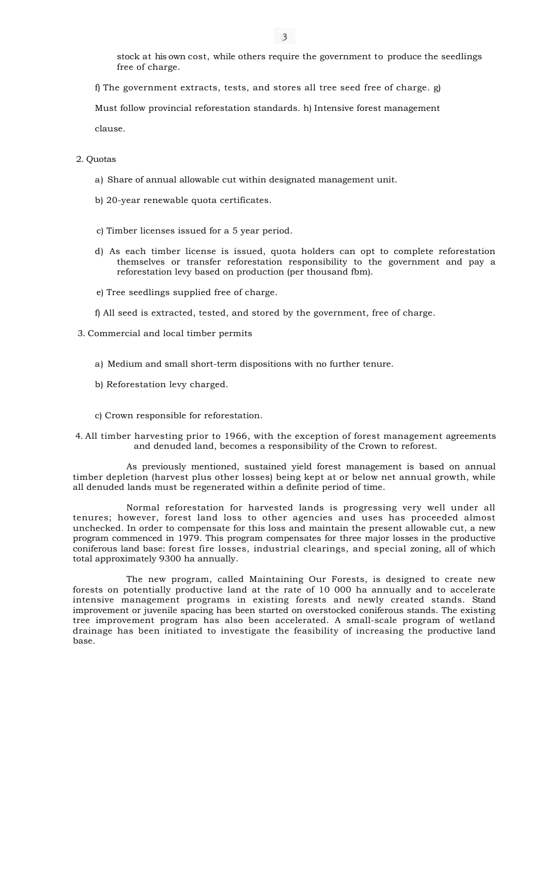stock at his own cost, while others require the government to produce the seedlings free of charge.

f) The government extracts, tests, and stores all tree seed free of charge. g)

Must follow provincial reforestation standards. h) Intensive forest management

clause.

2. Quotas

- a) Share of annual allowable cut within designated management unit.
- b) 20-year renewable quota certificates.
- c) Timber licenses issued for a 5 year period.
- d) As each timber license is issued, quota holders can opt to complete reforestation themselves or transfer reforestation responsibility to the government and pay a reforestation levy based on production (per thousand fbm).
- e) Tree seedlings supplied free of charge.

f) All seed is extracted, tested, and stored by the government, free of charge.

- 3. Commercial and local timber permits
	- a) Medium and small short-term dispositions with no further tenure.
	- b) Reforestation levy charged.
	- c) Crown responsible for reforestation.

4. All timber harvesting prior to 1966, with the exception of forest management agreements and denuded land, becomes a responsibility of the Crown to reforest.

As previously mentioned, sustained yield forest management is based on annual timber depletion (harvest plus other losses) being kept at or below net annual growth, while all denuded lands must be regenerated within a definite period of time.

Normal reforestation for harvested lands is progressing very well under all tenures; however, forest land loss to other agencies and uses has proceeded almost unchecked. In order to compensate for this loss and maintain the present allowable cut, a new program commenced in 1979. This program compensates for three major losses in the productive coniferous land base: forest fire losses, industrial clearings, and special zoning, all of which total approximately 9300 ha annually.

The new program, called Maintaining Our Forests, is designed to create new forests on potentially productive land at the rate of 10 000 ha annually and to accelerate intensive management programs in existing forests and newly created stands. Stand improvement or juvenile spacing has been started on overstocked coniferous stands. The existing tree improvement program has also been accelerated. A small-scale program of wetland drainage has been initiated to investigate the feasibility of increasing the productive land base.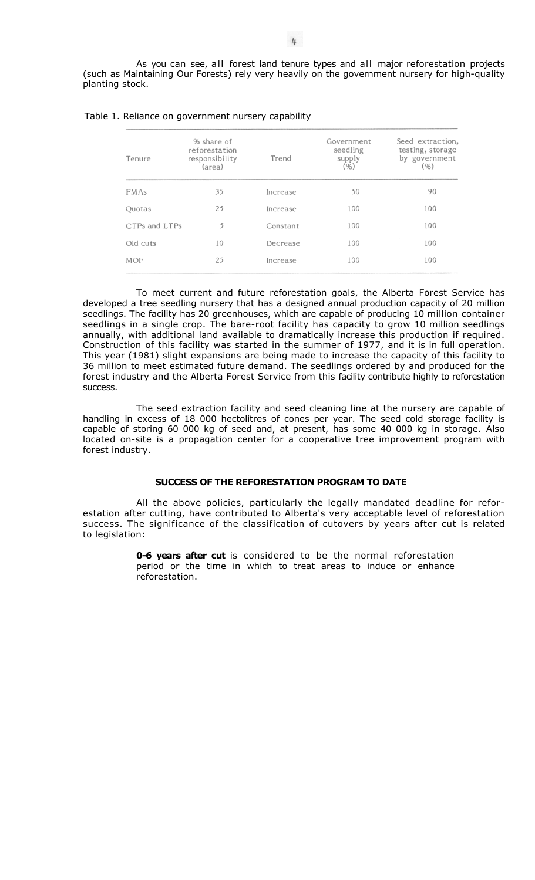As you can see, all forest land tenure types and all major reforestation projects (such as Maintaining Our Forests) rely very heavily on the government nursery for high-quality planting stock.

| Tenure        | % share of<br>reforestation<br>responsibility<br>(area) | Trend    | Government<br>seedling<br>supply<br>(96) | Seed extraction,<br>testing, storage<br>by government<br>(96) |  |
|---------------|---------------------------------------------------------|----------|------------------------------------------|---------------------------------------------------------------|--|
| <b>FMAs</b>   | 35                                                      | Increase | 50                                       | 90                                                            |  |
| Quotas        | 25                                                      | Increase | 100                                      | 100                                                           |  |
| CTPs and LTPs | 5                                                       | Constant | 100                                      | 100                                                           |  |
| Old cuts      | 10                                                      | Decrease | 100                                      | 100                                                           |  |
| <b>MOF</b>    | 25                                                      | Increase | 100                                      | 100                                                           |  |

## Table 1. Reliance on government nursery capability

To meet current and future reforestation goals, the Alberta Forest Service has developed a tree seedling nursery that has a designed annual production capacity of 20 million seedlings. The facility has 20 greenhouses, which are capable of producing 10 million container seedlings in a single crop. The bare-root facility has capacity to grow 10 million seedlings annually, with additional land available to dramatically increase this production if required. Construction of this facility was started in the summer of 1977, and it is in full operation. This year (1981) slight expansions are being made to increase the capacity of this facility to 36 million to meet estimated future demand. The seedlings ordered by and produced for the forest industry and the Alberta Forest Service from this facility contribute highly to reforestation success.

The seed extraction facility and seed cleaning line at the nursery are capable of handling in excess of 18 000 hectolitres of cones per year. The seed cold storage facility is capable of storing 60 000 kg of seed and, at present, has some 40 000 kg in storage. Also located on-site is a propagation center for a cooperative tree improvement program with forest industry.

# **SUCCESS OF THE REFORESTATION PROGRAM TO DATE**

All the above policies, particularly the legally mandated deadline for reforestation after cutting, have contributed to Alberta's very acceptable level of reforestation success. The significance of the classification of cutovers by years after cut is related to legislation:

> **0-6 years after cut** is considered to be the normal reforestation period or the time in which to treat areas to induce or enhance reforestation.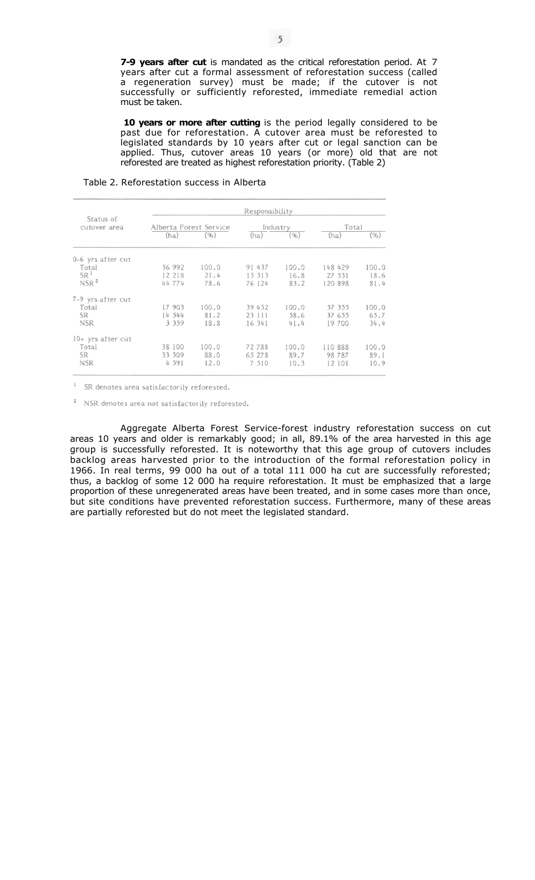**7-9 years after cut** is mandated as the critical reforestation period. At 7 years after cut a formal assessment of reforestation success (called a regeneration survey) must be made; if the cutover is not successfully or sufficiently reforested, immediate remedial action must be taken.

10 years or more after cutting is the period legally considered to be past due for reforestation. A cutover area must be reforested to legislated standards by 10 years after cut or legal sanction can be applied. Thus, cutover areas 10 years (or more) old that are not reforested are treated as highest reforestation priority. (Table 2)

# Table 2. Reforestation success in Alberta

|                           | Responsibility         |       |          |       |          |       |  |  |
|---------------------------|------------------------|-------|----------|-------|----------|-------|--|--|
| Status of<br>cutover area | Alberta Forest Service |       | Industry |       | Total    |       |  |  |
|                           | (ha)                   | (96)  | (ha)     | (96)  | (ha)     | (96)  |  |  |
| 0-6 yrs after cut         |                        |       |          |       |          |       |  |  |
| Total                     | 56 992                 | 100.0 | 91 437   | 100.0 | 148 429  | 100.0 |  |  |
| SR <sup>1</sup>           | 12 218                 | 21.4  | 15 313   | 16.8  | 27 531   | 18.6  |  |  |
| NSR <sup>2</sup>          | 44 774                 | 78.6  | 76 124   | 83.2  | 120 898  | 81.4  |  |  |
| 7-9 yrs after cut         |                        |       |          |       |          |       |  |  |
| Total                     | 17 903                 | 100.0 | 39 452   | 100.0 | 57 355   | 100.0 |  |  |
| <b>SR</b>                 | 14 544                 | 81.2  | 23 111   | 58.6  | 37 655   | 65.7  |  |  |
| <b>NSR</b>                | 3 3 5 9                | 18.8  | 16 34 1  | 41.4  | 19 700   | 34.4  |  |  |
| 10+ yrs after cut         |                        |       |          |       |          |       |  |  |
| Total                     | 38 100                 | 100.0 | 72788    | 100.0 | 110 888  | 100.0 |  |  |
| <b>SR</b>                 | 33 509                 | 88.0  | 65 278   | 89.7  | 98 7 8 7 | 89.1  |  |  |
| <b>NSR</b>                | 4 5 9 1                | 12.0  | 7 510    | 10.3  | 12 101   | 10.9  |  |  |

<sup>1</sup> SR denotes area satisfactorily reforested.

<sup>2</sup> NSR denotes area not satisfactorily reforested.

Aggregate Alberta Forest Service-forest industry reforestation success on cut areas 10 years and older is remarkably good; in all, 89.1% of the area harvested in this age group is successfully reforested. It is noteworthy that this age group of cutovers includes backlog areas harvested prior to the introduction of the formal reforestation policy in 1966. In real terms, 99 000 ha out of a total 111 000 ha cut are successfully reforested; thus, a backlog of some 12 000 ha require reforestation. It must be emphasized that a large proportion of these unregenerated areas have been treated, and in some cases more than once, but site conditions have prevented reforestation success. Furthermore, many of these areas are partially reforested but do not meet the legislated standard.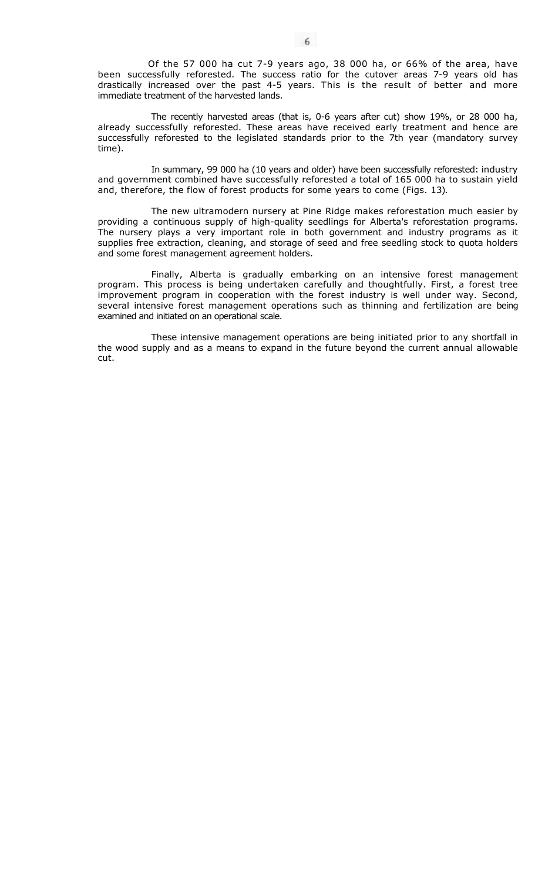Of the 57 000 ha cut 7-9 years ago, 38 000 ha, or 66% of the area, have been successfully reforested. The success ratio for the cutover areas 7-9 years old has drastically increased over the past 4-5 years. This is the result of better and more immediate treatment of the harvested lands.

The recently harvested areas (that is, 0-6 years after cut) show 19%, or 28 000 ha, already successfully reforested. These areas have received early treatment and hence are successfully reforested to the legislated standards prior to the 7th year (mandatory survey time).

In summary, 99 000 ha (10 years and older) have been successfully reforested: industry and government combined have successfully reforested a total of 165 000 ha to sustain yield and, therefore, the flow of forest products for some years to come (Figs. 13).

The new ultramodern nursery at Pine Ridge makes reforestation much easier by providing a continuous supply of high-quality seedlings for Alberta's reforestation programs. The nursery plays a very important role in both government and industry programs as it supplies free extraction, cleaning, and storage of seed and free seedling stock to quota holders and some forest management agreement holders.

Finally, Alberta is gradually embarking on an intensive forest management program. This process is being undertaken carefully and thoughtfully. First, a forest tree improvement program in cooperation with the forest industry is well under way. Second, several intensive forest management operations such as thinning and fertilization are being examined and initiated on an operational scale.

These intensive management operations are being initiated prior to any shortfall in the wood supply and as a means to expand in the future beyond the current annual allowable cut.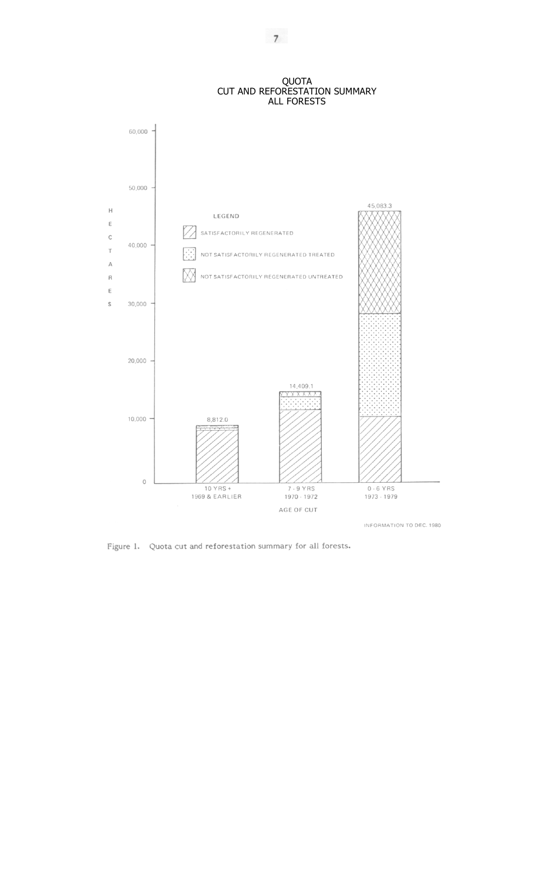## QUOTA CUT AND REFORESTATION SUMMARY ALL FORESTS



Figure 1. Quota cut and reforestation summary for all forests.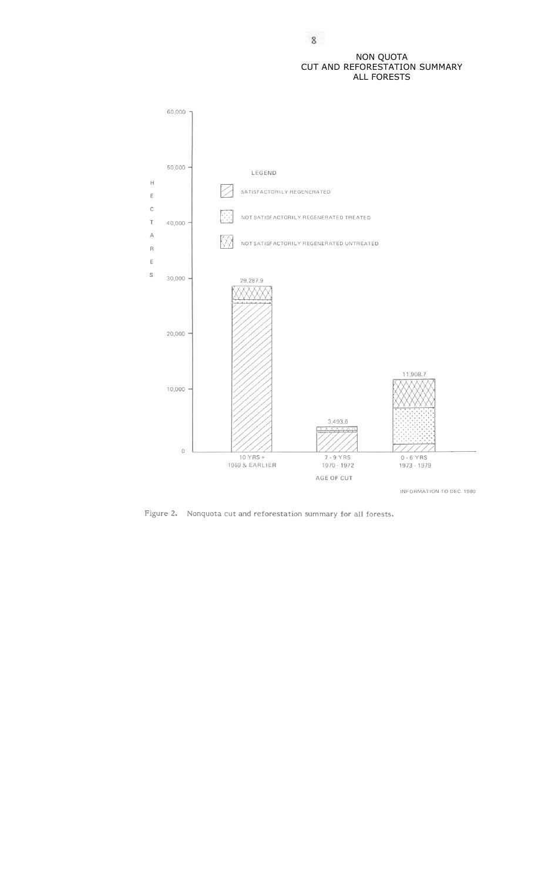# NON QUOTA CUT AND REFORESTATION SUMMARY ALL FORESTS



Figure 2. Nonquota cut and reforestation summary for all forests.